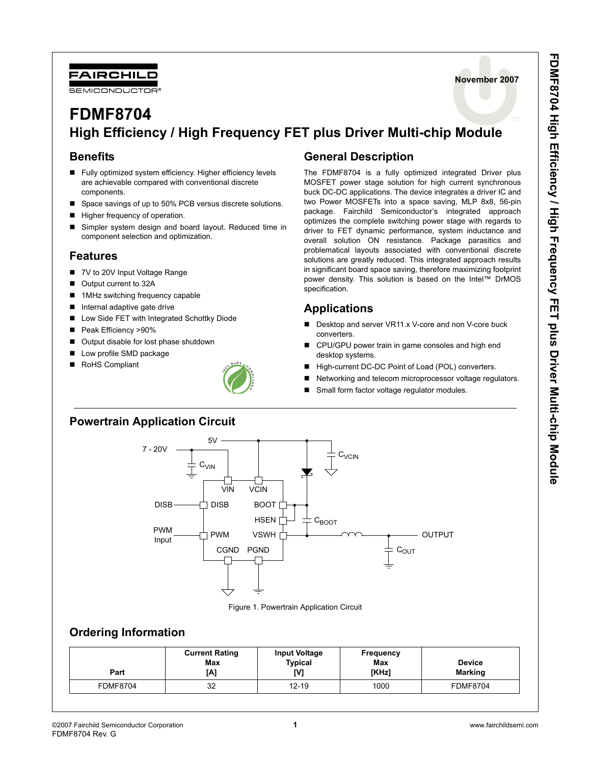



# **FDMF8704 High Efficiency / High Frequency FET plus Driver Multi-chip Module**

### **Benefits**

- Fully optimized system efficiency. Higher efficiency levels are achievable compared with conventional discrete components.
- Space savings of up to 50% PCB versus discrete solutions.
- Higher frequency of operation.
- Simpler system design and board layout. Reduced time in component selection and optimization.

#### **Features**

- 7V to 20V Input Voltage Range
- Output current to 32A
- 1MHz switching frequency capable
- Internal adaptive gate drive
- Low Side FET with Integrated Schottky Diode
- Peak Efficiency >90%
- Output disable for lost phase shutdown
- Low profile SMD package
- RoHS Compliant



## **General Description**

The FDMF8704 is a fully optimized integrated Driver plus MOSFET power stage solution for high current synchronous buck DC-DC applications. The device integrates a driver IC and two Power MOSFETs into a space saving, MLP 8x8, 56-pin package. Fairchild Semiconductor's integrated approach optimizes the complete switching power stage with regards to driver to FET dynamic performance, system inductance and overall solution ON resistance. Package parasitics and problematical layouts associated with conventional discrete solutions are greatly reduced. This integrated approach results in significant board space saving, therefore maximizing footprint power density. This solution is based on the Intel™ DrMOS specification.

# **Applications**

- Desktop and server VR11.x V-core and non V-core buck converters.
- CPU/GPU power train in game consoles and high end desktop systems.
- High-current DC-DC Point of Load (POL) converters.
- Networking and telecom microprocessor voltage regulators.
- Small form factor voltage regulator modules.

## **Powertrain Application Circuit**



Figure 1. Powertrain Application Circuit

## **Ordering Information**

| Part            | <b>Current Rating</b><br>Max<br>[A] | <b>Input Voltage</b><br>Typical<br>IV1 | <b>Frequency</b><br>Max<br>[KHz] | <b>Device</b><br>Marking |
|-----------------|-------------------------------------|----------------------------------------|----------------------------------|--------------------------|
| <b>FDMF8704</b> | 32                                  | $12 - 19$                              | 1000                             | <b>FDMF8704</b>          |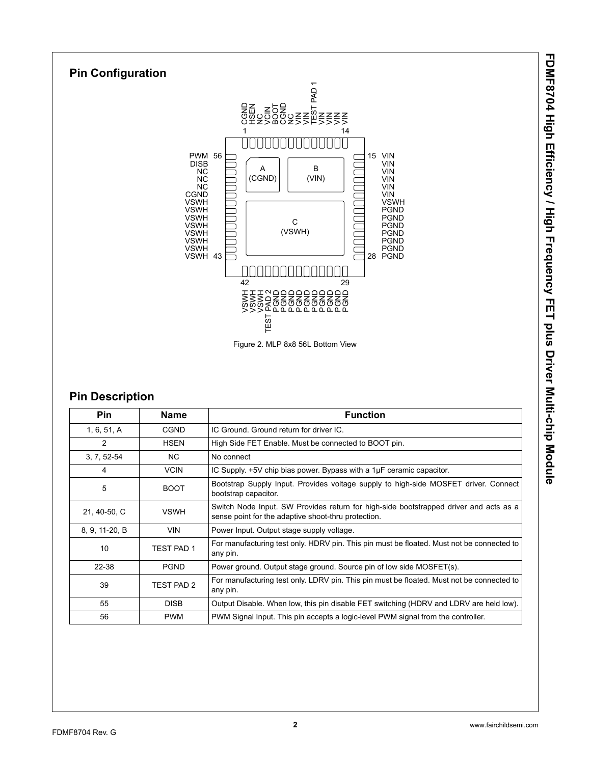

## **Pin Description**

| <b>Pin</b>     | Name              | <b>Function</b>                                                                                                                              |  |
|----------------|-------------------|----------------------------------------------------------------------------------------------------------------------------------------------|--|
| 1, 6, 51, A    | <b>CGND</b>       | IC Ground. Ground return for driver IC.                                                                                                      |  |
| 2              | <b>HSEN</b>       | High Side FET Enable. Must be connected to BOOT pin.                                                                                         |  |
| $3, 7, 52-54$  | NC.               | No connect                                                                                                                                   |  |
| 4              | <b>VCIN</b>       | IC Supply. +5V chip bias power. Bypass with a 1µF ceramic capacitor.                                                                         |  |
| 5              | <b>BOOT</b>       | Bootstrap Supply Input. Provides voltage supply to high-side MOSFET driver. Connect<br>bootstrap capacitor.                                  |  |
| 21, 40-50, C   | <b>VSWH</b>       | Switch Node Input. SW Provides return for high-side bootstrapped driver and acts as a<br>sense point for the adaptive shoot-thru protection. |  |
| 8, 9, 11-20, B | <b>VIN</b>        | Power Input. Output stage supply voltage.                                                                                                    |  |
| 10             | <b>TEST PAD 1</b> | For manufacturing test only. HDRV pin. This pin must be floated. Must not be connected to<br>any pin.                                        |  |
| 22-38          | <b>PGND</b>       | Power ground. Output stage ground. Source pin of low side MOSFET(s).                                                                         |  |
| 39             | TEST PAD 2        | For manufacturing test only. LDRV pin. This pin must be floated. Must not be connected to<br>any pin.                                        |  |
| 55             | <b>DISB</b>       | Output Disable. When low, this pin disable FET switching (HDRV and LDRV are held low).                                                       |  |
| 56             | <b>PWM</b>        | PWM Signal Input. This pin accepts a logic-level PWM signal from the controller.                                                             |  |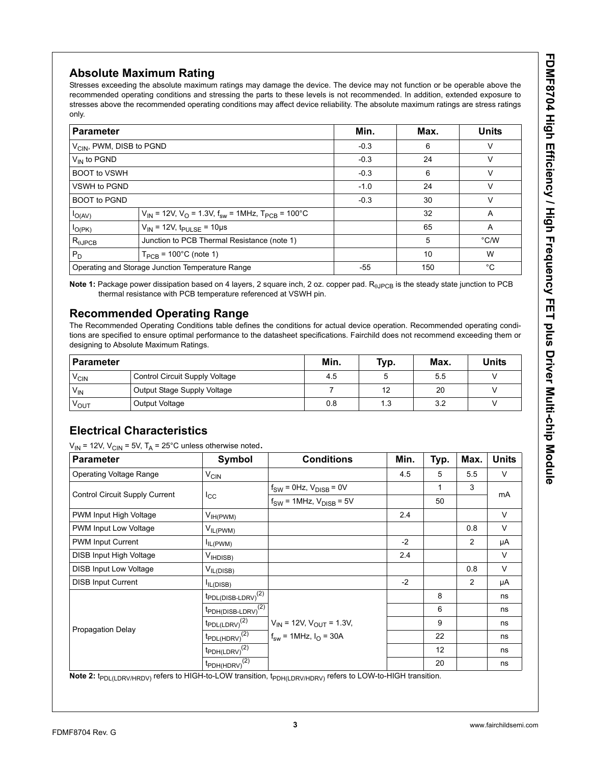# **Absolute Maximum Rating**

Stresses exceeding the absolute maximum ratings may damage the device. The device may not function or be operable above the recommended operating conditions and stressing the parts to these levels is not recommended. In addition, extended exposure to stresses above the recommended operating conditions may affect device reliability. The absolute maximum ratings are stress ratings only.

| <b>Parameter</b>                                                        |                                                                                         | Min.   | Max. | <b>Units</b>  |
|-------------------------------------------------------------------------|-----------------------------------------------------------------------------------------|--------|------|---------------|
| V <sub>CIN</sub> , PWM, DISB to PGND                                    |                                                                                         | $-0.3$ | 6    | v             |
| $V_{IN}$ to PGND                                                        |                                                                                         | $-0.3$ | 24   | v             |
| <b>BOOT to VSWH</b>                                                     |                                                                                         | $-0.3$ | 6    | v             |
| VSWH to PGND                                                            |                                                                                         | $-1.0$ | 24   | v             |
| <b>BOOT to PGND</b>                                                     |                                                                                         | $-0.3$ | 30   | $\vee$        |
| $I_{O(AV)}$                                                             | $V_{IN}$ = 12V, V <sub>O</sub> = 1.3V, f <sub>sw</sub> = 1MHz, T <sub>PCB</sub> = 100°C |        | 32   | A             |
| $V_{\text{IN}}$ = 12V, t <sub>PULSE</sub> = 10µs<br>$I_{O(PK)}$         |                                                                                         |        | 65   | A             |
| Junction to PCB Thermal Resistance (note 1)<br>$R_{\theta \text{JPCB}}$ |                                                                                         |        | 5    | $\degree$ C/W |
| $P_D$<br>$T_{PCB}$ = 100 $^{\circ}$ C (note 1)                          |                                                                                         |        | 10   | W             |
|                                                                         | Operating and Storage Junction Temperature Range                                        |        | 150  | °C            |

**Note 1:** Package power dissipation based on 4 layers, 2 square inch, 2 oz. copper pad. R<sub>eJPCB</sub> is the steady state junction to PCB thermal resistance with PCB temperature referenced at VSWH pin.

## **Recommended Operating Range**

The Recommended Operating Conditions table defines the conditions for actual device operation. Recommended operating conditions are specified to ensure optimal performance to the datasheet specifications. Fairchild does not recommend exceeding them or designing to Absolute Maximum Ratings.

| <b>Parameter</b>             |                                | Min. | Typ. | Max. | <b>Units</b> |
|------------------------------|--------------------------------|------|------|------|--------------|
| $V_{\text{\scriptsize CIN}}$ | Control Circuit Supply Voltage | 4.5  |      | 5.5  |              |
| $V_{\text{IN}}$              | Output Stage Supply Voltage    |      | 12   | 20   |              |
| VOUT                         | Output Voltage                 | 0.8  | 1.3  | 3.2  |              |

## **Electrical Characteristics**

 $V_{IN}$  = 12V,  $V_{CIN}$  = 5V,  $T_A$  = 25°C unless otherwise noted.

| <b>Parameter</b>               | Symbol                            | <b>Conditions</b>                 | Min. | Typ. | Max. | <b>Units</b> |
|--------------------------------|-----------------------------------|-----------------------------------|------|------|------|--------------|
| <b>Operating Voltage Range</b> | $V_{CIN}$                         |                                   | 4.5  | 5    | 5.5  | V            |
| Control Circuit Supply Current |                                   | $f_{SW}$ = 0Hz, $V_{DISB}$ = 0V   |      | 1    | 3    | mA           |
|                                | $I_{\rm CC}$                      | $f_{SW}$ = 1MHz, $V_{DISB}$ = 5V  |      | 50   |      |              |
| PWM Input High Voltage         | $V_{IH(PWM)}$                     |                                   | 2.4  |      |      | V            |
| PWM Input Low Voltage          | $V_{IL(PWM)}$                     |                                   |      |      | 0.8  | V            |
| PWM Input Current              | IL(PWM)                           |                                   | $-2$ |      | 2    | μA           |
| DISB Input High Voltage        | V <sub>IHDISB)</sub>              |                                   | 2.4  |      |      | V            |
| <b>DISB Input Low Voltage</b>  | V <sub>IL(DISB)</sub>             |                                   |      |      | 0.8  | V            |
| <b>DISB Input Current</b>      | IL(DISB)                          |                                   | $-2$ |      | 2    | μA           |
|                                | $\textrm{tpDLOISB-LDRV)}^{(2)}$   |                                   |      | 8    |      | ns           |
|                                | $t_{\text{PDH(DISB-LDRV)}}^{(2)}$ |                                   |      | 6    |      | ns           |
| Propagation Delay              | $t_{PDL(LDRV)}^{(2)}$             | $V_{IN}$ = 12V, $V_{OUT}$ = 1.3V, |      | 9    |      | ns           |
|                                | $t_{PDL(HDRV)}^{(2)}$             | $f_{sw}$ = 1MHz, $I_{O}$ = 30A    |      | 22   |      | ns           |
|                                | $t_{\text{PDH(LDRV)}}^{(2)}$      |                                   |      | 12   |      | ns           |
|                                | $t_{\text{PDH(HDRV)}}^{(2)}$      |                                   |      | 20   |      | ns           |

Note 2: t<sub>PDL(LDRV/HRDV)</sub> refers to HIGH-to-LOW transition, t<sub>PDH(LDRV/HDRV)</sub> refers to LOW-to-HIGH transition.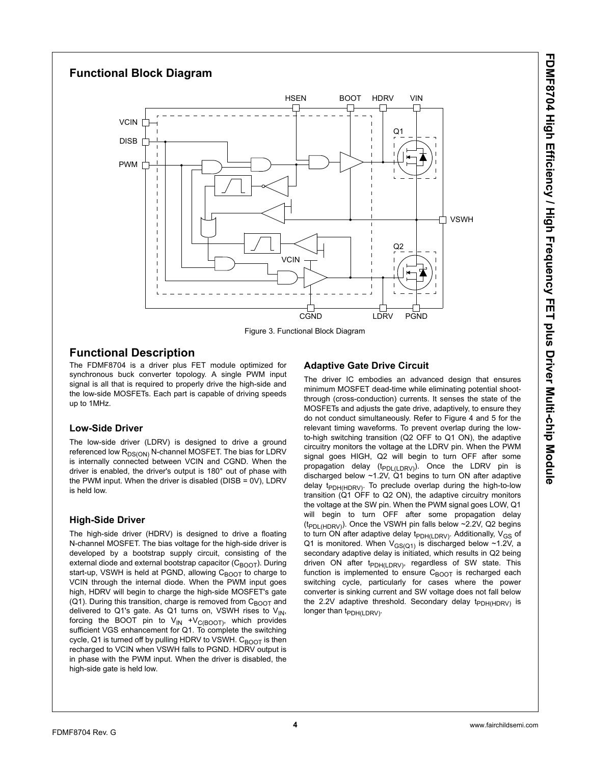# **Functional Block Diagram** PWM DISB CGND LDRV PGND VSWH BOOT HDRV VIN **VCIN VCIN HDRV** LDRV **HSEN** Q1 Q2

Figure 3. Functional Block Diagram

## **Functional Description**

The FDMF8704 is a driver plus FET module optimized for synchronous buck converter topology. A single PWM input signal is all that is required to properly drive the high-side and the low-side MOSFETs. Each part is capable of driving speeds up to 1MHz.

#### **Low-Side Driver**

The low-side driver (LDRV) is designed to drive a ground referenced low R<sub>DS(ON)</sub> N-channel MOSFET. The bias for LDRV is internally connected between VCIN and CGND. When the driver is enabled, the driver's output is 180° out of phase with the PWM input. When the driver is disabled (DISB = 0V), LDRV is held low.

### **High-Side Driver**

The high-side driver (HDRV) is designed to drive a floating N-channel MOSFET. The bias voltage for the high-side driver is developed by a bootstrap supply circuit, consisting of the external diode and external bootstrap capacitor  $(C_{\text{BOOT}})$ . During start-up, VSWH is held at PGND, allowing  $C_{\text{BOOT}}$  to charge to VCIN through the internal diode. When the PWM input goes high, HDRV will begin to charge the high-side MOSFET's gate (Q1). During this transition, charge is removed from  $C_{\text{BOOT}}$  and delivered to Q1's gate. As Q1 turns on, VSWH rises to  $V_{IN}$ , forcing the BOOT pin to  $V_{IN} + V_{C(BOOT)}$ , which provides sufficient VGS enhancement for Q1. To complete the switching cycle, Q1 is turned off by pulling HDRV to VSWH.  $C_{\text{BOOT}}$  is then recharged to VCIN when VSWH falls to PGND. HDRV output is in phase with the PWM input. When the driver is disabled, the high-side gate is held low.

## **Adaptive Gate Drive Circuit**

The driver IC embodies an advanced design that ensures minimum MOSFET dead-time while eliminating potential shootthrough (cross-conduction) currents. It senses the state of the MOSFETs and adjusts the gate drive, adaptively, to ensure they do not conduct simultaneously. Refer to Figure 4 and 5 for the relevant timing waveforms. To prevent overlap during the lowto-high switching transition (Q2 OFF to Q1 ON), the adaptive circuitry monitors the voltage at the LDRV pin. When the PWM signal goes HIGH, Q2 will begin to turn OFF after some propagation delay ( $t_{PDL(LDRV)}$ ). Once the LDRV pin is discharged below  $~1.2V$ , Q1 begins to turn ON after adaptive delay t<sub>PDH(HDRV)</sub>. To preclude overlap during the high-to-low transition (Q1 OFF to Q2 ON), the adaptive circuitry monitors the voltage at the SW pin. When the PWM signal goes LOW, Q1 will begin to turn OFF after some propagation delay ( $tp_{\text{DL(HDRV)}}$ ). Once the VSWH pin falls below ~2.2V, Q2 begins to turn ON after adaptive delay  $t_{\text{PDH(LDRV)}}$ . Additionally,  $V_{\text{GS}}$  of Q1 is monitored. When  $V_{GS(Q1)}$  is discharged below ~1.2V, a secondary adaptive delay is initiated, which results in Q2 being driven ON after  $t_{PDH(LDRV)}$ , regardless of SW state. This function is implemented to ensure  $C_{\text{BOOT}}$  is recharged each switching cycle, particularly for cases where the power converter is sinking current and SW voltage does not fall below the 2.2V adaptive threshold. Secondary delay  $t_{PDH(HDRV)}$  is longer than  $t_{\text{PDH}(I\text{ DRV})}$ .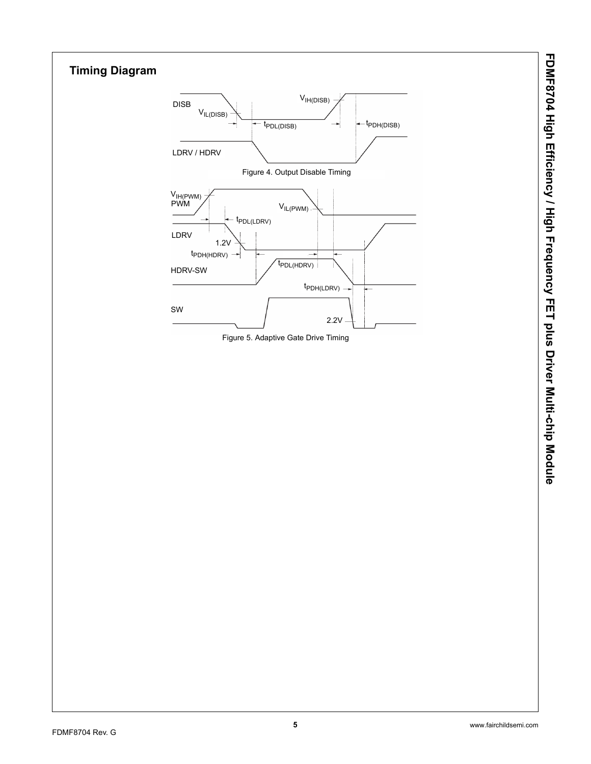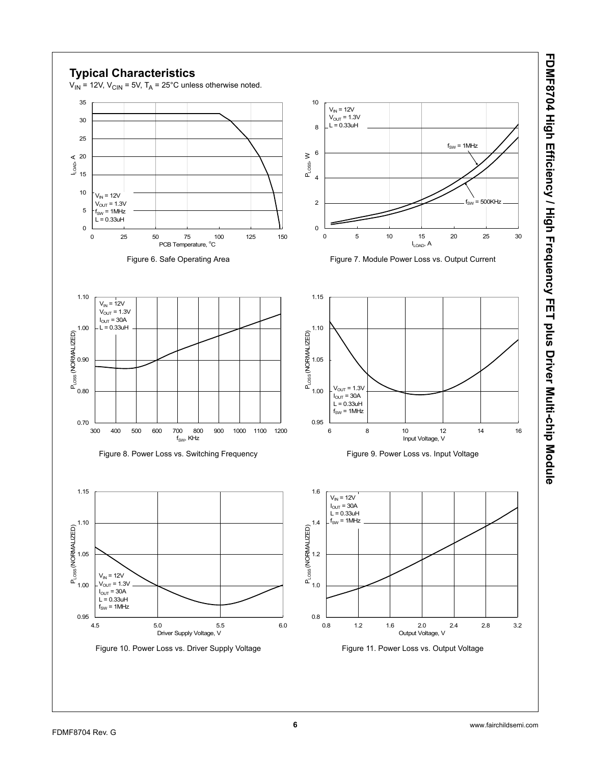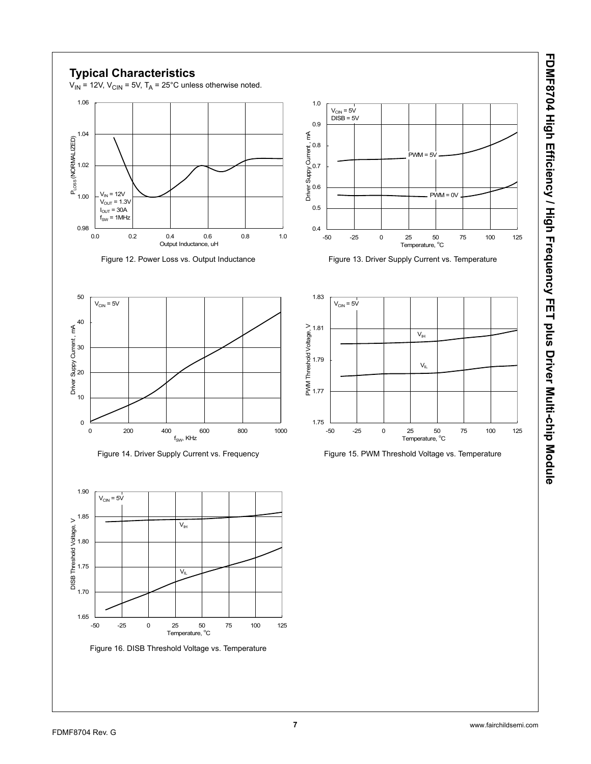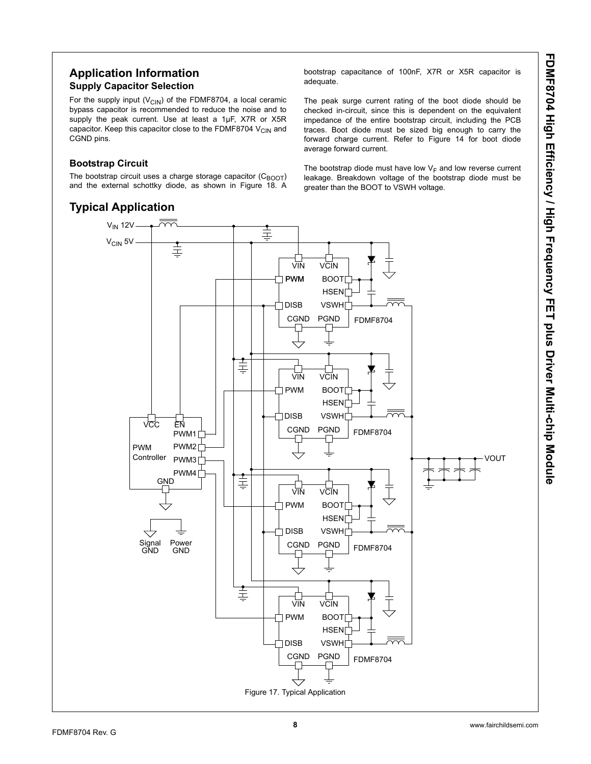## **Application Information Supply Capacitor Selection**

For the supply input ( $V_{CIN}$ ) of the FDMF8704, a local ceramic bypass capacitor is recommended to reduce the noise and to supply the peak current. Use at least a 1µF, X7R or X5R capacitor. Keep this capacitor close to the FDMF8704  $V_{CIN}$  and CGND pins.

#### **Bootstrap Circuit**

The bootstrap circuit uses a charge storage capacitor  $(C_{\text{BOOT}})$ and the external schottky diode, as shown in Figure 18. A

# **Typical Application**

bootstrap capacitance of 100nF, X7R or X5R capacitor is adequate.

The peak surge current rating of the boot diode should be checked in-circuit, since this is dependent on the equivalent impedance of the entire bootstrap circuit, including the PCB traces. Boot diode must be sized big enough to carry the forward charge current. Refer to Figure 14 for boot diode average forward current.

The bootstrap diode must have low  $V_F$  and low reverse current leakage. Breakdown voltage of the bootstrap diode must be greater than the BOOT to VSWH voltage.

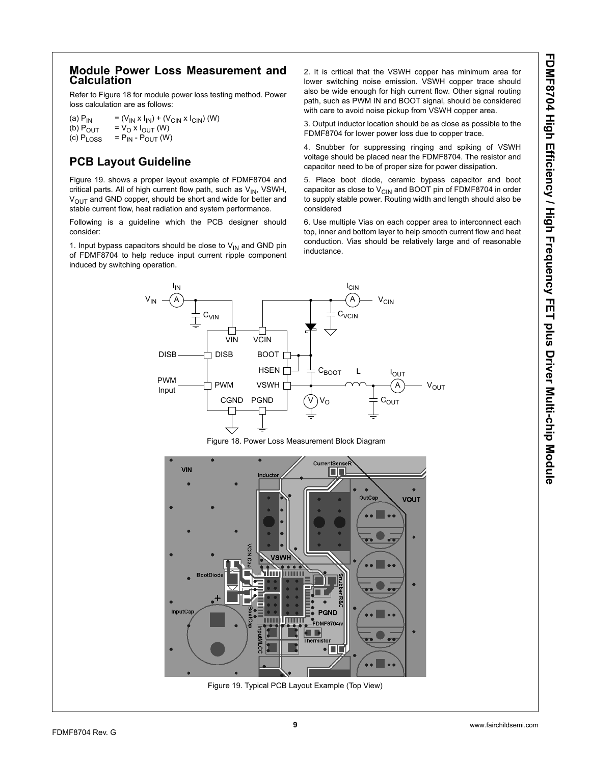#### **Module Power Loss Measurement and Calculation**

Refer to Figure 18 for module power loss testing method. Power loss calculation are as follows:

(a)  $P_{IN}$  = (V<sub>IN</sub> x I<sub>IN</sub>) + (V<sub>CIN</sub> x I<sub>CIN</sub>) (W)<br>(b)  $P_{OUT}$  = V<sub>O</sub> x I<sub>OUT</sub> (W) (b)  $P_{OUT} = V_0 \times I_{OUT} (W)$ <br>(c)  $P_{LOS} = P_{IN} - P_{OUT} (W)$  $= P_{IN} - P_{OUIT} (W)$ 

# **PCB Layout Guideline**

Figure 19. shows a proper layout example of FDMF8704 and critical parts. All of high current flow path, such as  $V_{IN}$ , VSWH,  $V_{\text{OUT}}$  and GND copper, should be short and wide for better and stable current flow, heat radiation and system performance.

Following is a guideline which the PCB designer should consider:

1. Input bypass capacitors should be close to  $V_{IN}$  and GND pin of FDMF8704 to help reduce input current ripple component induced by switching operation.

2. It is critical that the VSWH copper has minimum area for lower switching noise emission. VSWH copper trace should also be wide enough for high current flow. Other signal routing path, such as PWM IN and BOOT signal, should be considered with care to avoid noise pickup from VSWH copper area.

3. Output inductor location should be as close as possible to the FDMF8704 for lower power loss due to copper trace.

4. Snubber for suppressing ringing and spiking of VSWH voltage should be placed near the FDMF8704. The resistor and capacitor need to be of proper size for power dissipation.

5. Place boot diode, ceramic bypass capacitor and boot capacitor as close to  $V_{\text{CIN}}$  and BOOT pin of FDMF8704 in order to supply stable power. Routing width and length should also be considered

6. Use multiple Vias on each copper area to interconnect each top, inner and bottom layer to help smooth current flow and heat conduction. Vias should be relatively large and of reasonable inductance.



Figure 18. Power Loss Measurement Block Diagram

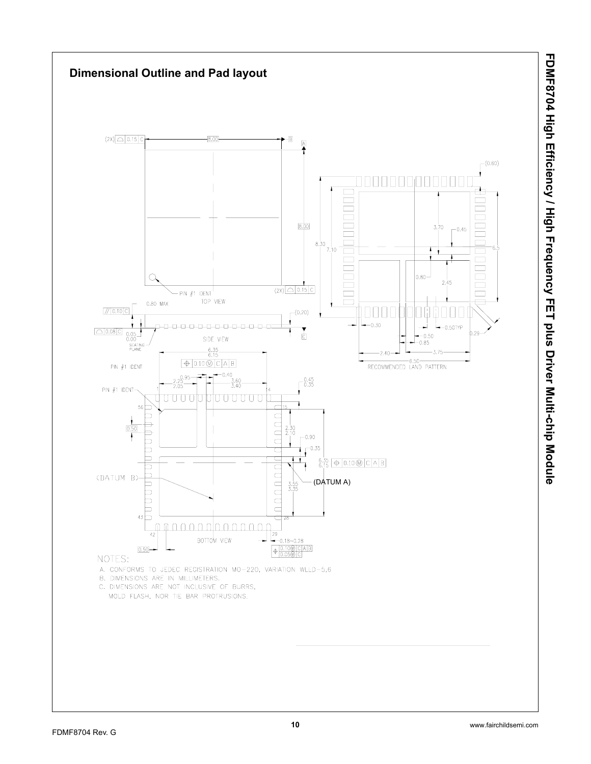